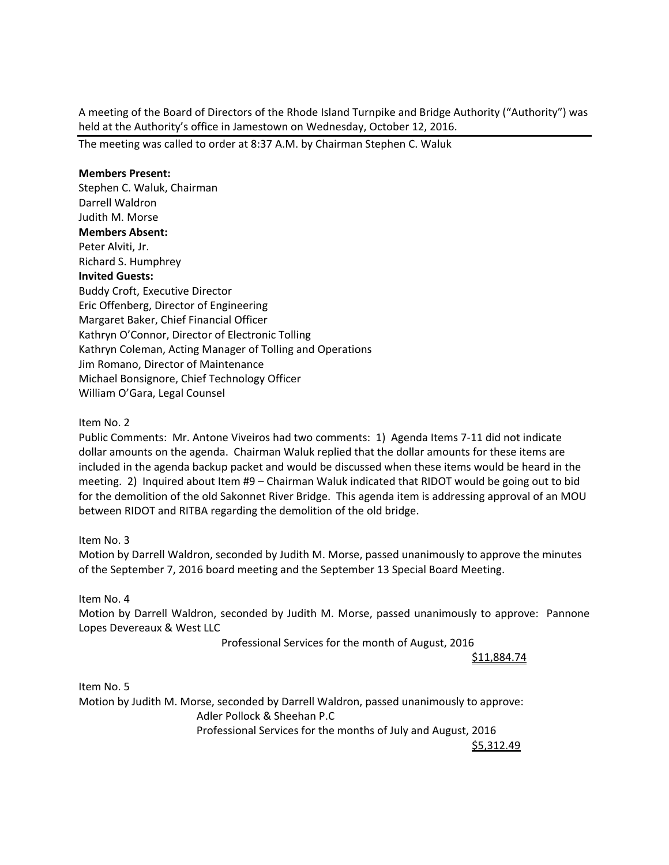A meeting of the Board of Directors of the Rhode Island Turnpike and Bridge Authority ("Authority") was held at the Authority's office in Jamestown on Wednesday, October 12, 2016.

The meeting was called to order at 8:37 A.M. by Chairman Stephen C. Waluk

## **Members Present:**

Stephen C. Waluk, Chairman Darrell Waldron Judith M. Morse **Members Absent:**  Peter Alviti, Jr. Richard S. Humphrey **Invited Guests:** Buddy Croft, Executive Director Eric Offenberg, Director of Engineering Margaret Baker, Chief Financial Officer Kathryn O'Connor, Director of Electronic Tolling Kathryn Coleman, Acting Manager of Tolling and Operations Jim Romano, Director of Maintenance Michael Bonsignore, Chief Technology Officer William O'Gara, Legal Counsel

## Item No. 2

Public Comments: Mr. Antone Viveiros had two comments: 1) Agenda Items 7‐11 did not indicate dollar amounts on the agenda. Chairman Waluk replied that the dollar amounts for these items are included in the agenda backup packet and would be discussed when these items would be heard in the meeting. 2) Inquired about Item #9 – Chairman Waluk indicated that RIDOT would be going out to bid for the demolition of the old Sakonnet River Bridge. This agenda item is addressing approval of an MOU between RIDOT and RITBA regarding the demolition of the old bridge.

## Item No. 3

Motion by Darrell Waldron, seconded by Judith M. Morse, passed unanimously to approve the minutes of the September 7, 2016 board meeting and the September 13 Special Board Meeting.

#### Item No. 4

Motion by Darrell Waldron, seconded by Judith M. Morse, passed unanimously to approve: Pannone Lopes Devereaux & West LLC

Professional Services for the month of August, 2016

 $\frac{\$11,884.74}{5}$ 

Item No. 5 Motion by Judith M. Morse, seconded by Darrell Waldron, passed unanimously to approve: Adler Pollock & Sheehan P.C Professional Services for the months of July and August, 2016  $\frac{\textcolor{red}{\textbf{\textbf{5}}}}{5,312.49}$